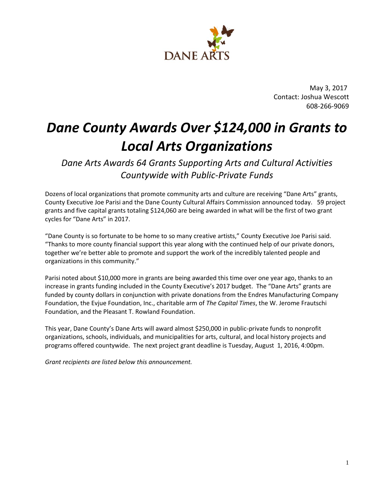

 May 3, 2017 Contact: Joshua Wescott 608-266-9069

# *Dane County Awards Over \$124,000 in Grants to Local Arts Organizations*

*Dane Arts Awards 64 Grants Supporting Arts and Cultural Activities Countywide with Public-Private Funds*

Dozens of local organizations that promote community arts and culture are receiving "Dane Arts" grants, County Executive Joe Parisi and the Dane County Cultural Affairs Commission announced today. 59 project grants and five capital grants totaling \$124,060 are being awarded in what will be the first of two grant cycles for "Dane Arts" in 2017.

"Dane County is so fortunate to be home to so many creative artists," County Executive Joe Parisi said. "Thanks to more county financial support this year along with the continued help of our private donors, together we're better able to promote and support the work of the incredibly talented people and organizations in this community."

Parisi noted about \$10,000 more in grants are being awarded this time over one year ago, thanks to an increase in grants funding included in the County Executive's 2017 budget. The "Dane Arts" grants are funded by county dollars in conjunction with private donations from the Endres Manufacturing Company Foundation, the Evjue Foundation, Inc., charitable arm of *The Capital Times*, the W. Jerome Frautschi Foundation, and the Pleasant T. Rowland Foundation.

This year, Dane County's Dane Arts will award almost \$250,000 in public-private funds to nonprofit organizations, schools, individuals, and municipalities for arts, cultural, and local history projects and programs offered countywide. The next project grant deadline is Tuesday, August 1, 2016, 4:00pm.

*Grant recipients are listed below this announcement.*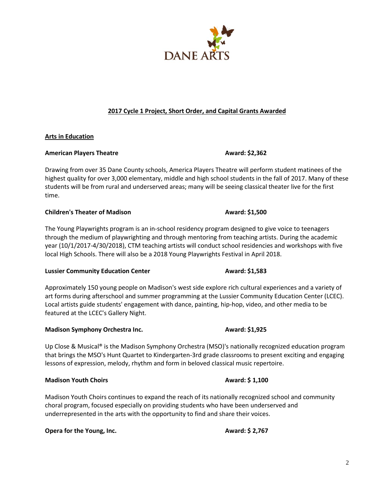# **2017 Cycle 1 Project, Short Order, and Capital Grants Awarded**

# **Arts in Education**

# American Players Theatre **Award:** \$2,362

Drawing from over 35 Dane County schools, America Players Theatre will perform student matinees of the highest quality for over 3,000 elementary, middle and high school students in the fall of 2017. Many of these students will be from rural and underserved areas; many will be seeing classical theater live for the first time.

# **Children's Theater of Madison Award: \$1,500**

The Young Playwrights program is an in-school residency program designed to give voice to teenagers through the medium of playwrighting and through mentoring from teaching artists. During the academic year (10/1/2017-4/30/2018), CTM teaching artists will conduct school residencies and workshops with five local High Schools. There will also be a 2018 Young Playwrights Festival in April 2018.

### Lussier Community Education Center **Award: \$1,583**

Approximately 150 young people on Madison's west side explore rich cultural experiences and a variety of art forms during afterschool and summer programming at the Lussier Community Education Center (LCEC). Local artists guide students' engagement with dance, painting, hip-hop, video, and other media to be featured at the LCEC's Gallery Night.

# **Madison Symphony Orchestra Inc. Award: \$1,925**

Up Close & Musical® is the Madison Symphony Orchestra (MSO)'s nationally recognized education program that brings the MSO's Hunt Quartet to Kindergarten-3rd grade classrooms to present exciting and engaging lessons of expression, melody, rhythm and form in beloved classical music repertoire.

### **Madison Youth Choirs Award: \$ 1,100**

Madison Youth Choirs continues to expand the reach of its nationally recognized school and community choral program, focused especially on providing students who have been underserved and underrepresented in the arts with the opportunity to find and share their voices.

**Opera for the Young, Inc. Award: \$ 2,767** 

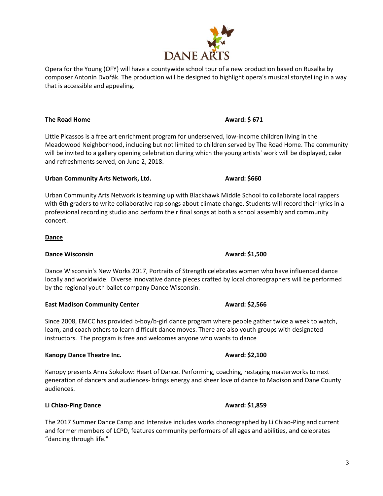**The Road Home Award: \$ 671** 

Little Picassos is a free art enrichment program for underserved, low-income children living in the Meadowood Neighborhood, including but not limited to children served by The Road Home. The community will be invited to a gallery opening celebration during which the young artists' work will be displayed, cake and refreshments served, on June 2, 2018.

# Urban Community Arts Network, Ltd. **Award: \$660**

that is accessible and appealing.

Urban Community Arts Network is teaming up with Blackhawk Middle School to collaborate local rappers with 6th graders to write collaborative rap songs about climate change. Students will record their lyrics in a professional recording studio and perform their final songs at both a school assembly and community concert.

### **Dance**

# **Dance Wisconsin Award: \$1,500**

Dance Wisconsin's New Works 2017, Portraits of Strength celebrates women who have influenced dance locally and worldwide. Diverse innovative dance pieces crafted by local choreographers will be performed by the regional youth ballet company Dance Wisconsin.

### **East Madison Community Center Award: \$2,566**

Since 2008, EMCC has provided b-boy/b-girl dance program where people gather twice a week to watch, learn, and coach others to learn difficult dance moves. There are also youth groups with designated instructors. The program is free and welcomes anyone who wants to dance

# **Kanopy Dance Theatre Inc. Award: \$2,100 Award: \$2,100**

Kanopy presents Anna Sokolow: Heart of Dance. Performing, coaching, restaging masterworks to next generation of dancers and audiences- brings energy and sheer love of dance to Madison and Dane County audiences.

# **Li Chiao-Ping Dance Award: \$1,859**

The 2017 Summer Dance Camp and Intensive includes works choreographed by Li Chiao-Ping and current and former members of LCPD, features community performers of all ages and abilities, and celebrates "dancing through life."



composer Antonín Dvořák. The production will be designed to highlight opera's musical storytelling in a way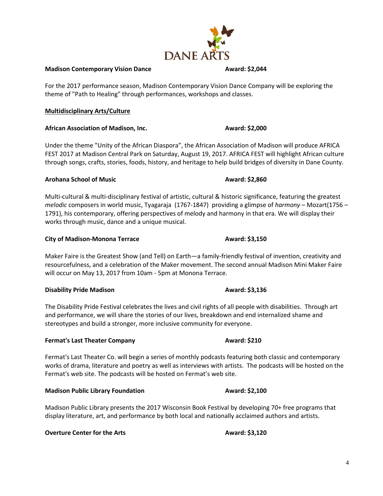### **Madison Contemporary Vision Dance Madison Contemporary Vision Dance Award: \$2,044**

For the 2017 performance season, Madison Contemporary Vision Dance Company will be exploring the theme of "Path to Healing" through performances, workshops and classes.

### **Multidisciplinary Arts/Culture**

### **African Association of Madison, Inc. Award: \$2,000**

Under the theme "Unity of the African Diaspora", the African Association of Madison will produce AFRICA FEST 2017 at Madison Central Park on Saturday, August 19, 2017. AFRICA FEST will highlight African culture through songs, crafts, stories, foods, history, and heritage to help build bridges of diversity in Dane County.

### **Arohana School of Music Community Community Award: \$2,860**

Multi-cultural & multi-disciplinary festival of artistic, cultural & historic significance, featuring the greatest *melodic* composers in world music, Tyagaraja (1767-1847) providing a glimpse of *harmony* – Mozart(1756 – 1791), his contemporary, offering perspectives of melody and harmony in that era. We will display their works through music, dance and a unique musical.

### **City of Madison-Monona Terrace Award: \$3,150**

Maker Faire is the Greatest Show (and Tell) on Earth—a family-friendly festival of invention, creativity and resourcefulness, and a celebration of the Maker movement. The second annual Madison Mini Maker Faire will occur on May 13, 2017 from 10am - 5pm at Monona Terrace.

### **Disability Pride Madison Award: \$3,136**

The Disability Pride Festival celebrates the lives and civil rights of all people with disabilities. Through art and performance, we will share the stories of our lives, breakdown and end internalized shame and stereotypes and build a stronger, more inclusive community for everyone.

### **Fermat's Last Theater Company <b>Award: \$210**

Fermat's Last Theater Co. will begin a series of monthly podcasts featuring both classic and contemporary works of drama, literature and poetry as well as interviews with artists. The podcasts will be hosted on the Fermat's web site. The podcasts will be hosted on Fermat's web site.

### **Madison Public Library Foundation Award: \$2,100**

Madison Public Library presents the 2017 Wisconsin Book Festival by developing 70+ free programs that display literature, art, and performance by both local and nationally acclaimed authors and artists.

### **Overture Center for the Arts Award: \$3,120**

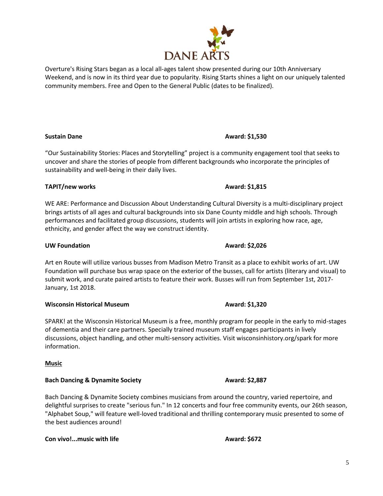"Our Sustainability Stories: Places and Storytelling" project is a community engagement tool that seeks to uncover and share the stories of people from different backgrounds who incorporate the principles of sustainability and well-being in their daily lives.

# **TAPIT/new works CONSULS Award: \$1,815**

WE ARE: Performance and Discussion About Understanding Cultural Diversity is a multi-disciplinary project brings artists of all ages and cultural backgrounds into six Dane County middle and high schools. Through performances and facilitated group discussions, students will join artists in exploring how race, age, ethnicity, and gender affect the way we construct identity.

# **UW Foundation Award: \$2,026**

Art en Route will utilize various busses from Madison Metro Transit as a place to exhibit works of art. UW Foundation will purchase bus wrap space on the exterior of the busses, call for artists (literary and visual) to submit work, and curate paired artists to feature their work. Busses will run from September 1st, 2017- January, 1st 2018.

# **Wisconsin Historical Museum Award: \$1,320**

SPARK! at the Wisconsin Historical Museum is a free, monthly program for people in the early to mid-stages of dementia and their care partners. Specially trained museum staff engages participants in lively discussions, object handling, and other multi-sensory activities. Visit wisconsinhistory.org/spark for more information.

### **Music**

### **Bach Dancing & Dynamite Society Award: \$2,887**

Bach Dancing & Dynamite Society combines musicians from around the country, varied repertoire, and delightful surprises to create "serious fun." In 12 concerts and four free community events, our 26th season, "Alphabet Soup," will feature well-loved traditional and thrilling contemporary music presented to some of the best audiences around!

### **Con vivo!...music with life <b>Award: \$672**

# **Sustain Dane Award: \$1,530**



Weekend, and is now in its third year due to popularity. Rising Starts shines a light on our uniquely talented

Overture's Rising Stars began as a local all-ages talent show presented during our 10th Anniversary

community members. Free and Open to the General Public (dates to be finalized).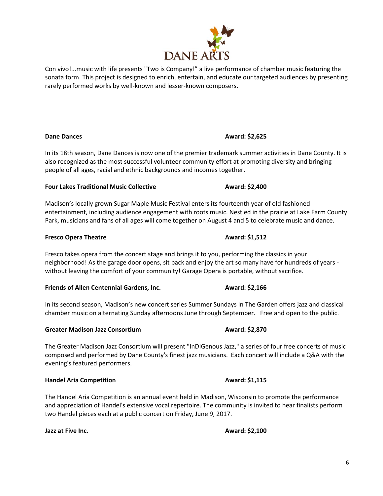In its 18th season, Dane Dances is now one of the premier trademark summer activities in Dane County. It is also recognized as the most successful volunteer community effort at promoting diversity and bringing people of all ages, racial and ethnic backgrounds and incomes together.

# **Four Lakes Traditional Music Collective Award: \$2,400**

Madison's locally grown Sugar Maple Music Festival enters its fourteenth year of old fashioned entertainment, including audience engagement with roots music. Nestled in the prairie at Lake Farm County Park, musicians and fans of all ages will come together on August 4 and 5 to celebrate music and dance.

# **Fresco Opera Theatre <b>Award: \$1,512**

Fresco takes opera from the concert stage and brings it to you, performing the classics in your neighborhood! As the garage door opens, sit back and enjoy the art so many have for hundreds of years without leaving the comfort of your community! Garage Opera is portable, without sacrifice.

**Friends of Allen Centennial Gardens, Inc.** Award: \$2,166

In its second season, Madison's new concert series Summer Sundays In The Garden offers jazz and classical chamber music on alternating Sunday afternoons June through September. Free and open to the public.

# **Greater Madison Jazz Consortium Award: \$2,870**

The Greater Madison Jazz Consortium will present "InDIGenous Jazz," a series of four free concerts of music composed and performed by Dane County's finest jazz musicians. Each concert will include a Q&A with the evening's featured performers.

# **Handel Aria Competition Award: \$1,115**

The Handel Aria Competition is an annual event held in Madison, Wisconsin to promote the performance and appreciation of Handel's extensive vocal repertoire. The community is invited to hear finalists perform two Handel pieces each at a public concert on Friday, June 9, 2017.

**Jazz at Five Inc. Award: \$2,100** 

# Con vivo!...music with life presents "Two is Company!" a live performance of chamber music featuring the sonata form. This project is designed to enrich, entertain, and educate our targeted audiences by presenting rarely performed works by well-known and lesser-known composers.

# **Dane Dances Award: \$2,625**

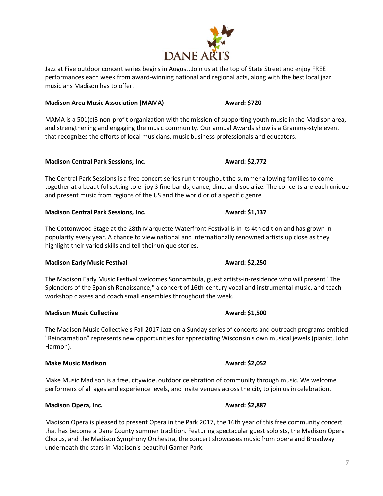Jazz at Five outdoor concert series begins in August. Join us at the top of State Street and enjoy FREE performances each week from award-winning national and regional acts, along with the best local jazz musicians Madison has to offer.

# **Madison Area Music Association (MAMA) Award: \$720**

MAMA is a 501(c)3 non-profit organization with the mission of supporting youth music in the Madison area, and strengthening and engaging the music community. Our annual Awards show is a Grammy-style event that recognizes the efforts of local musicians, music business professionals and educators.

### **Madison Central Park Sessions, Inc. Award: \$2,772**

The Central Park Sessions is a free concert series run throughout the summer allowing families to come together at a beautiful setting to enjoy 3 fine bands, dance, dine, and socialize. The concerts are each unique and present music from regions of the US and the world or of a specific genre.

### **Madison Central Park Sessions, Inc. Award: \$1,137**

The Cottonwood Stage at the 28th Marquette Waterfront Festival is in its 4th edition and has grown in popularity every year. A chance to view national and internationally renowned artists up close as they highlight their varied skills and tell their unique stories.

# **Madison Early Music Festival**  Award: \$2,250

The Madison Early Music Festival welcomes Sonnambula, guest artists-in-residence who will present "The Splendors of the Spanish Renaissance," a concert of 16th-century vocal and instrumental music, and teach workshop classes and coach small ensembles throughout the week.

# **Madison Music Collective Award: \$1,500**

The Madison Music Collective's Fall 2017 Jazz on a Sunday series of concerts and outreach programs entitled "Reincarnation" represents new opportunities for appreciating Wisconsin's own musical jewels (pianist, John Harmon).

### **Make Music Madison Community Community Community Award: \$2,052**

Make Music Madison is a free, citywide, outdoor celebration of community through music. We welcome performers of all ages and experience levels, and invite venues across the city to join us in celebration.

# **Madison Opera, Inc. Award: \$2,887**

Madison Opera is pleased to present Opera in the Park 2017, the 16th year of this free community concert that has become a Dane County summer tradition. Featuring spectacular guest soloists, the Madison Opera Chorus, and the Madison Symphony Orchestra, the concert showcases music from opera and Broadway underneath the stars in Madison's beautiful Garner Park.

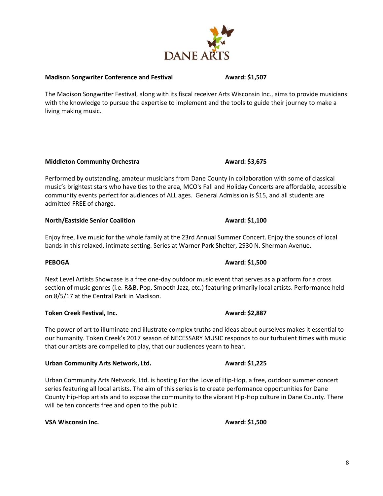**Madison Songwriter Conference and Festival <b>Award: \$1,507** 

The Madison Songwriter Festival, along with its fiscal receiver Arts Wisconsin Inc., aims to provide musicians with the knowledge to pursue the expertise to implement and the tools to guide their journey to make a living making music.

### **Middleton Community Orchestra Award: \$3,675**

Performed by outstanding, amateur musicians from Dane County in collaboration with some of classical music's brightest stars who have ties to the area, MCO's Fall and Holiday Concerts are affordable, accessible community events perfect for audiences of ALL ages. General Admission is \$15, and all students are admitted FREE of charge.

### **North/Eastside Senior Coalition Award: \$1,100**

Enjoy free, live music for the whole family at the 23rd Annual Summer Concert. Enjoy the sounds of local bands in this relaxed, intimate setting. Series at Warner Park Shelter, 2930 N. Sherman Avenue.

Next Level Artists Showcase is a free one-day outdoor music event that serves as a platform for a cross section of music genres (i.e. R&B, Pop, Smooth Jazz, etc.) featuring primarily local artists. Performance held on 8/5/17 at the Central Park in Madison.

**Token Creek Festival, Inc. Award: \$2,887** 

The power of art to illuminate and illustrate complex truths and ideas about ourselves makes it essential to our humanity. Token Creek's 2017 season of NECESSARY MUSIC responds to our turbulent times with music that our artists are compelled to play, that our audiences yearn to hear.

### **Urban Community Arts Network, Ltd. Award: \$1,225**

Urban Community Arts Network, Ltd. is hosting For the Love of Hip-Hop, a free, outdoor summer concert series featuring all local artists. The aim of this series is to create performance opportunities for Dane County Hip-Hop artists and to expose the community to the vibrant Hip-Hop culture in Dane County. There will be ten concerts free and open to the public.

**VSA Wisconsin Inc. Award: \$1,500 Award: \$1,500** 



### **PEBOGA Award: \$1,500**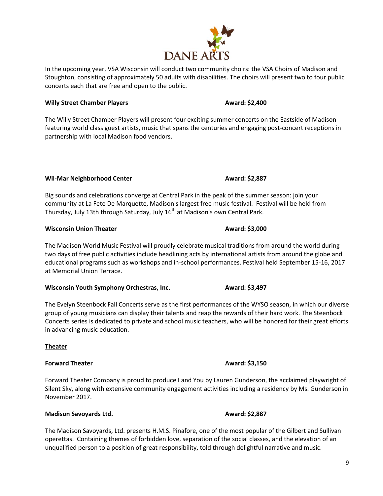In the upcoming year, VSA Wisconsin will conduct two community choirs: the VSA Choirs of Madison and Stoughton, consisting of approximately 50 adults with disabilities. The choirs will present two to four public concerts each that are free and open to the public.

# **Willy Street Chamber Players Award: \$2,400**

The Willy Street Chamber Players will present four exciting summer concerts on the Eastside of Madison featuring world class guest artists, music that spans the centuries and engaging post-concert receptions in partnership with local Madison food vendors.

**Wil-Mar Neighborhood Center Award: \$2,887** 

Big sounds and celebrations converge at Central Park in the peak of the summer season: join your community at La Fete De Marquette, Madison's largest free music festival. Festival will be held from Thursday, July 13th through Saturday, July 16<sup>th</sup> at Madison's own Central Park.

# **Wisconsin Union Theater Award: \$3,000**

The Madison World Music Festival will proudly celebrate musical traditions from around the world during two days of free public activities include headlining acts by international artists from around the globe and educational programs such as workshops and in-school performances. Festival held September 15-16, 2017 at Memorial Union Terrace.

**Wisconsin Youth Symphony Orchestras, Inc. Award: \$3,497** 

The Evelyn Steenbock Fall Concerts serve as the first performances of the WYSO season, in which our diverse group of young musicians can display their talents and reap the rewards of their hard work. The Steenbock Concerts series is dedicated to private and school music teachers, who will be honored for their great efforts in advancing music education.

**Theater**

# **Forward Theater Award: \$3,150**

Forward Theater Company is proud to produce I and You by Lauren Gunderson, the acclaimed playwright of Silent Sky, along with extensive community engagement activities including a residency by Ms. Gunderson in November 2017.

### **Madison Savoyards Ltd. Award: \$2,887**

The Madison Savoyards, Ltd. presents H.M.S. Pinafore, one of the most popular of the Gilbert and Sullivan operettas. Containing themes of forbidden love, separation of the social classes, and the elevation of an unqualified person to a position of great responsibility, told through delightful narrative and music.

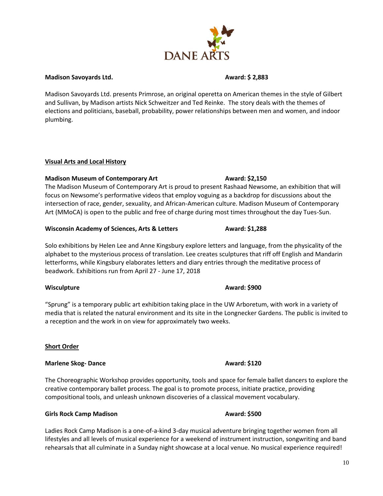### **Madison Savoyards Ltd. Award: \$ 2,883**

Madison Savoyards Ltd. presents Primrose, an original operetta on American themes in the style of Gilbert and Sullivan, by Madison artists Nick Schweitzer and Ted Reinke. The story deals with the themes of elections and politicians, baseball, probability, power relationships between men and women, and indoor plumbing.

# **Visual Arts and Local History**

# **Madison Museum of Contemporary Art Award: \$2,150**

The Madison Museum of Contemporary Art is proud to present Rashaad Newsome, an exhibition that will focus on Newsome's performative videos that employ voguing as a backdrop for discussions about the intersection of race, gender, sexuality, and African-American culture. Madison Museum of Contemporary Art (MMoCA) is open to the public and free of charge during most times throughout the day Tues-Sun.

# **Wisconsin Academy of Sciences, Arts & Letters <b>Award: \$1,288**

Solo exhibitions by Helen Lee and Anne Kingsbury explore letters and language, from the physicality of the alphabet to the mysterious process of translation. Lee creates sculptures that riff off English and Mandarin letterforms, while Kingsbury elaborates letters and diary entries through the meditative process of beadwork. Exhibitions run from April 27 - June 17, 2018

# **Wisculpture Award: \$900**

"Sprung" is a temporary public art exhibition taking place in the UW Arboretum, with work in a variety of media that is related the natural environment and its site in the Longnecker Gardens. The public is invited to a reception and the work in on view for approximately two weeks.

# **Short Order**

# **Marlene Skog-** Dance **Award: \$120**

The Choreographic Workshop provides opportunity, tools and space for female ballet dancers to explore the creative contemporary ballet process. The goal is to promote process, initiate practice, providing compositional tools, and unleash unknown discoveries of a classical movement vocabulary.

# **Girls Rock Camp Madison Award: \$500**

Ladies Rock Camp Madison is a one-of-a-kind 3-day musical adventure bringing together women from all lifestyles and all levels of musical experience for a weekend of instrument instruction, songwriting and band rehearsals that all culminate in a Sunday night showcase at a local venue. No musical experience required!

# **DANE AR**